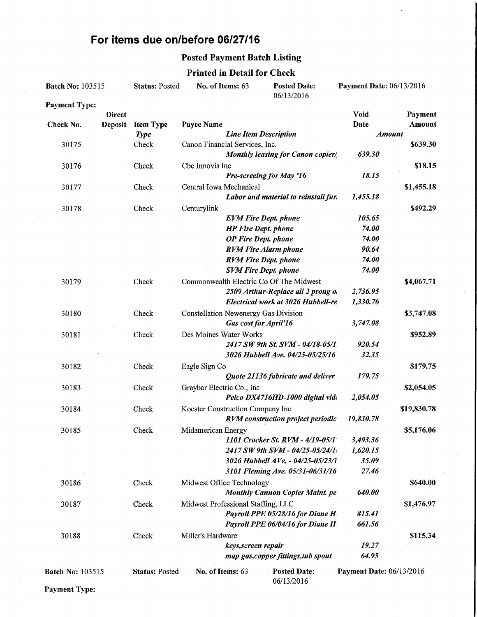## For items due on/before 06/27/16

### Posted Payment Batch Listing

### Printed in Detail for Check

| <b>Batch No: 103515</b> |                | <b>Status: Posted</b> | No. of Items: 63                     | <b>Posted Date:</b><br>06/13/2016                                   | Payment Date: 06/13/2016 |             |
|-------------------------|----------------|-----------------------|--------------------------------------|---------------------------------------------------------------------|--------------------------|-------------|
| <b>Payment Type:</b>    |                |                       |                                      |                                                                     |                          |             |
|                         | <b>Direct</b>  |                       |                                      |                                                                     | Void                     | Payment     |
| Check No.               | <b>Deposit</b> | <b>Item Type</b>      | Payee Name                           |                                                                     | Date                     | Amount      |
|                         |                | <b>Type</b>           |                                      | <b>Line Item Description</b>                                        | <b>Amount</b>            |             |
| 30175                   |                | Check                 | Canon Financial Services, Inc.       |                                                                     |                          | \$639.30    |
|                         |                |                       |                                      | Monthly leasing for Canon copier/                                   | 639.30                   |             |
| 30176                   |                | Check                 | Cbc Innovis Inc                      |                                                                     |                          | \$18.15     |
|                         |                |                       |                                      | Pre-screeing for May '16                                            | 18.15                    |             |
| 30177                   |                | Check                 | Central Iowa Mechanical              |                                                                     |                          | \$1,455.18  |
|                         |                |                       |                                      | Labor and material to reinstall fur.                                | 1,455.18                 |             |
| 30178                   |                | Check                 | Centurylink                          |                                                                     |                          | \$492.29    |
|                         |                |                       |                                      | <b>EVM Fire Dept. phone</b>                                         | 105.65                   |             |
|                         |                |                       |                                      | <b>HP Fire Dept. phone</b>                                          | 74.00                    |             |
|                         |                |                       |                                      | <b>OP</b> Fire Dept. phone                                          | 74.00                    |             |
|                         |                |                       |                                      | <b>RVM Fire Alarm phone</b>                                         | 90.64                    |             |
|                         |                |                       |                                      | <b>RVM Fire Dept. phone</b>                                         | 74.00                    |             |
|                         |                |                       |                                      | <b>SVM Fire Dept. phone</b>                                         | 74.00                    |             |
| 30179                   |                | Check                 |                                      | Commonwealth Electric Co Of The Midwest                             |                          | \$4,067.71  |
|                         |                |                       |                                      | 2509 Arthur-Replace all 2 prong $o_1$                               | 2,736.95                 |             |
|                         |                |                       |                                      | Electrical work at 3026 Hubbell-re                                  | 1,330.76                 |             |
| 30180                   |                | Check                 | Constellation Newenergy Gas Division |                                                                     |                          | \$3,747.08  |
|                         |                |                       |                                      | Gas cost for April'16                                               | 3,747.08                 |             |
| 30181                   |                | Check                 | Des Moines Water Works               |                                                                     |                          | \$952.89    |
|                         |                |                       |                                      | 2417 SW 9th St. SVM - 04/18-05/1                                    | 920.54                   |             |
|                         |                |                       |                                      | 3026 Hubbell Ave. 04/25-05/25/16                                    | 32.35                    |             |
| 30182                   |                | Check                 | Eagle Sign Co                        |                                                                     |                          | \$179.75    |
|                         |                |                       |                                      | Quote 21136 fabricate and deliver                                   | 179.75                   |             |
| 30183                   |                | Check                 | Graybar Electric Co., Inc            |                                                                     |                          | \$2,054.05  |
|                         |                |                       |                                      | Pelco DX4716HD-1000 digital vide                                    | 2,054.05                 |             |
| 30184                   |                | Check                 | Koester Construction Company Inc     |                                                                     |                          | \$19,830.78 |
|                         |                |                       |                                      | <b>RVM</b> construction project periodic                            | 19,830.78                |             |
| 30185                   |                | Check                 | Midamerican Energy                   |                                                                     |                          | \$5,176.06  |
|                         |                |                       |                                      | 1101 Crocker St. RVM - 4/19-05/1<br>2417 SW 9th SVM - 04/25-05/24/1 | 3,493.36<br>1,620.15     |             |
|                         |                |                       |                                      | 3026 Hubbell AVe. - 04/25-05/23/1                                   | 35.09                    |             |
|                         |                |                       |                                      | 3101 Fleming Ave. 05/31-06/31/16                                    | 27.46                    |             |
|                         |                | Check                 | Midwest Office Technology            |                                                                     |                          | \$640.00    |
| 30186                   |                |                       |                                      | <b>Monthly Cannon Copier Maint. pe</b>                              | 640.00                   |             |
|                         |                |                       |                                      |                                                                     |                          |             |
| 30187                   |                | Check                 | Midwest Professional Staffing, LLC   | Payroll PPE 05/28/16 for Diane H                                    | 815.41                   | \$1,476.97  |
|                         |                |                       |                                      | Payroll PPE 06/04/16 for Diane H                                    | 661.56                   |             |
|                         |                |                       |                                      |                                                                     |                          | \$115.34    |
| 30188                   |                | Check                 | Miller's Hardware                    | keys, screen repair                                                 | 19.27                    |             |
|                         |                |                       |                                      | map gas, copper fittings, tub spout                                 | 64.95                    |             |
|                         |                |                       |                                      |                                                                     |                          |             |
| <b>Batch No: 103515</b> |                | <b>Status: Posted</b> | No. of Items: 63                     | <b>Posted Date:</b><br>06/13/2016                                   | Payment Date: 06/13/2016 |             |

Payment Type: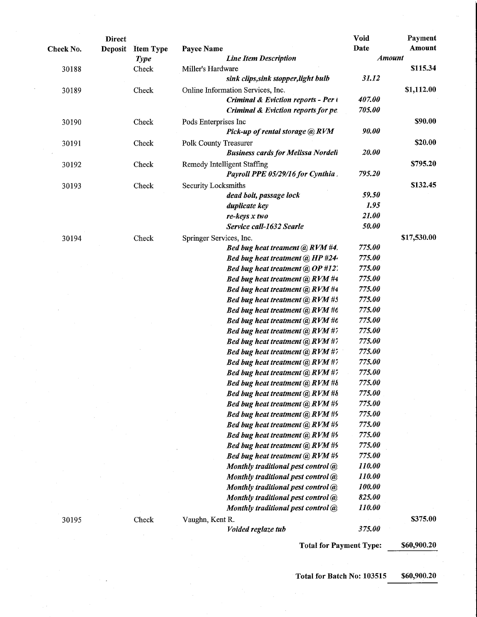|           | <b>Direct</b>  |                  |                                           | Void          | Payment     |
|-----------|----------------|------------------|-------------------------------------------|---------------|-------------|
| Check No. | <b>Deposit</b> | <b>Item Type</b> | Payee Name                                | Date          | Amount      |
|           |                | <b>Type</b>      | <b>Line Item Description</b>              | <b>Amount</b> |             |
| 30188     |                | Check            | Miller's Hardware                         |               | \$115.34    |
|           |                |                  | sink clips, sink stopper, light bulb      | 31.12         |             |
| 30189     |                | Check            | Online Information Services, Inc.         |               | \$1,112.00  |
|           |                |                  | Criminal & Eviction reports - Per (       | 407.00        |             |
|           |                |                  | Criminal & Eviction reports for pe.       | 705.00        |             |
| 30190     |                | Check            | Pods Enterprises Inc                      |               | \$90.00     |
|           |                |                  | Pick-up of rental storage @ RVM           | 90.00         |             |
| 30191     |                | Check            | Polk County Treasurer                     |               | \$20.00     |
|           |                |                  | <b>Business cards for Melissa Nordell</b> | 20.00         |             |
| 30192     |                | Check            | Remedy Intelligent Staffing               |               | \$795.20    |
|           |                |                  | Payroll PPE 05/29/16 for Cynthia          | 795.20        |             |
| 30193     |                | Check            | Security Locksmiths                       |               | \$132.45    |
|           |                |                  | dead bolt, passage lock                   | 59.50         |             |
|           |                |                  | duplicate key                             | 1.95          |             |
|           |                |                  | $re$ -keys $x$ two                        | 21.00         |             |
|           |                |                  | Service call-1632 Searle                  | 50.00         |             |
| 30194     |                | Check            | Springer Services, Inc.                   |               | \$17,530.00 |
|           |                |                  | Bed bug heat treament @ RVM #4.           | 775.00        |             |
|           |                |                  | Bed bug heat treatment (a) HP #24.        | 775.00        |             |
|           |                |                  | Bed bug heat treatment @ OP #12.          | 775.00        |             |
|           |                |                  | Bed bug heat treatment @ RVM #4           | 775.00        |             |
|           |                |                  | Bed bug heat treatment @ RVM #4           | 775.00        |             |
|           |                |                  | Bed bug heat treatment @ RVM #5           | 775.00        |             |
|           |                |                  | Bed bug heat treatment @ RVM #6           | 775.00        |             |
|           |                |                  | Bed bug heat treatment @ RVM #6           | 775.00        |             |
|           |                |                  | <b>Bed bug heat treatment @ RVM #7</b>    | 775.00        |             |
|           |                |                  | Bed bug heat treatment @ RVM #7           | 775.00        |             |
|           |                |                  | <b>Bed bug heat treatment @ RVM #7</b>    | 775.00        |             |
|           |                |                  | Bed bug heat treatment @ RVM #7           | 775.00        |             |
|           |                |                  | Bed bug heat treatment @ RVM #7           | 775.00        |             |
|           |                |                  | Bed bug heat treatment @ RVM #8           | 775.00        |             |
|           |                |                  | Bed bug heat treatment $\omega$ RVM #8    | 775.00        |             |
|           |                |                  | <b>Bed bug heat treatment @ RVM #9</b>    | 775.00        |             |
|           |                |                  | <b>Bed bug heat treatment @ RVM #9</b>    | 775.00        |             |
|           |                |                  | Bed bug heat treatment @ RVM #9           | 775.00        |             |
|           |                |                  | Bed bug heat treatment @ RVM #9           | 775.00        |             |
|           |                |                  | Bed bug heat treatment @ RVM #9           | 775.00        |             |
|           |                |                  | Bed bug heat treatment @ RVM #9           | 775.00        |             |
|           |                |                  | Monthly traditional pest control @        | 110.00        |             |
|           |                |                  | Monthly traditional pest control @        | 110.00        |             |
|           |                |                  | Monthly traditional pest control @        | 100.00        |             |
|           |                |                  | Monthly traditional pest control @        | 825.00        |             |
|           |                |                  | Monthly traditional pest control @        | 110.00        |             |
| 30195     |                | Check            | Vaughn, Kent R.                           |               | \$375.00    |
|           |                |                  | Voided reglaze tub                        | 375.00        |             |
|           |                |                  | <b>Total for Payment Type:</b>            |               | \$60,900.20 |

Total for Batch No: 103515 \$60,900.20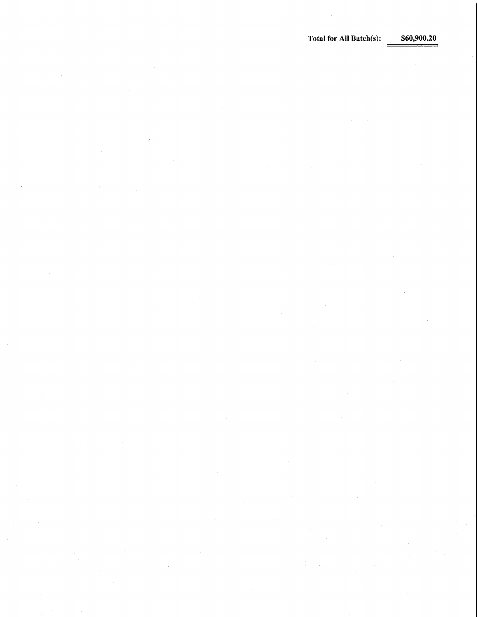Total for All Batch(s):  $$60,900.20$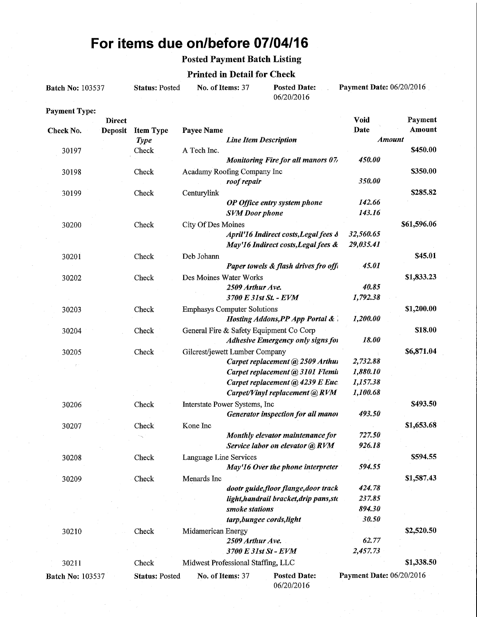# For items due on/before 07/04/16

## Posted Payment Batch Listing

#### Printed in Detail for Check

| <b>Batch No: 103537</b> |                | <b>Status: Posted</b> | No. of Items: 37                   |                              | <b>Posted Date:</b><br>06/20/2016         | Payment Date: 06/20/2016 |             |
|-------------------------|----------------|-----------------------|------------------------------------|------------------------------|-------------------------------------------|--------------------------|-------------|
| <b>Payment Type:</b>    |                |                       |                                    |                              |                                           |                          |             |
|                         | <b>Direct</b>  |                       |                                    |                              |                                           | Void                     | Payment     |
| Check No.               | <b>Deposit</b> | <b>Item Type</b>      | Payee Name                         |                              |                                           | Date                     | Amount      |
|                         |                | <b>Type</b>           |                                    | <b>Line Item Description</b> |                                           | <b>Amount</b>            |             |
| 30197                   |                | Check                 | A Tech Inc.                        |                              |                                           |                          | \$450.00    |
|                         |                |                       |                                    |                              | <b>Monitoring Fire for all manors 07/</b> | 450.00                   |             |
| 30198                   |                | Check                 | Acadamy Roofing Company Inc        |                              |                                           |                          | \$350.00    |
|                         |                |                       |                                    | roof repair                  |                                           | 350.00                   |             |
| 30199                   |                | Check                 | Centurylink                        |                              |                                           |                          | \$285.82    |
|                         |                |                       |                                    |                              | OP Office entry system phone              | 142.66                   |             |
|                         |                |                       |                                    | <b>SVM</b> Door phone        |                                           | 143.16                   |             |
| 30200                   |                | Check                 | City Of Des Moines                 |                              |                                           |                          | \$61,596.06 |
|                         |                |                       |                                    |                              | April'16 Indirect costs, Legal fees &     | 32,560.65                |             |
|                         |                |                       |                                    |                              | May'16 Indirect costs, Legal fees &       | 29,035.41                |             |
| 30201                   |                | Check                 | Deb Johann                         |                              |                                           |                          | \$45.01     |
|                         |                |                       |                                    |                              | Paper towels & flash drives fro offi      | 45.01                    |             |
| 30202                   |                | Check                 | Des Moines Water Works             |                              |                                           |                          | \$1,833.23  |
|                         |                |                       |                                    | 2509 Arthur Ave.             |                                           | 40.85                    |             |
|                         |                |                       |                                    |                              | 3700 E 31st St. - EVM                     | 1,792.38                 |             |
| 30203                   |                | Check                 | <b>Emphasys Computer Solutions</b> |                              |                                           |                          | \$1,200.00  |
|                         |                |                       |                                    |                              | Hosting Addons, PP App Portal &           | 1,200.00                 |             |
| 30204                   |                | Check                 |                                    |                              | General Fire & Safety Equipment Co Corp   |                          | \$18.00     |
|                         |                |                       |                                    |                              | Adhesive Emergency only signs for         | 18.00                    |             |
| 30205                   |                | Check                 | Gilcrest/jewett Lumber Company     |                              |                                           |                          | \$6,871.04  |
|                         |                |                       |                                    |                              | Carpet replacement @ 2509 Arthui          | 2,732.88                 |             |
|                         |                |                       |                                    |                              | Carpet replacement @ 3101 Flemin          | 1,880.10                 |             |
|                         |                |                       |                                    |                              | Carpet replacement @ 4239 E Euc.          | 1,157.38                 |             |
|                         |                |                       |                                    |                              | Carpet/Vinyl replacement @ RVM            | 1,100.68                 |             |
| 30206                   |                | Check                 | Interstate Power Systems, Inc      |                              |                                           |                          | \$493.50    |
|                         |                |                       |                                    |                              | Generator inspection for all manor        | 493.50                   |             |
| 30207                   |                | Check                 | Kone Inc                           |                              |                                           |                          | \$1,653.68  |
|                         |                |                       |                                    |                              | Monthly elevator maintenance for          | 727.50                   |             |
|                         |                |                       |                                    |                              | Service labor on elevator @ RVM           | 926.18                   |             |
| 30208                   |                | Check                 | Language Line Services             |                              |                                           |                          | \$594.55    |
|                         |                |                       |                                    |                              | May'16 Over the phone interpreter         | 594.55                   |             |
| 30209                   |                | Check                 | Menards Inc                        |                              |                                           |                          | \$1,587.43  |
|                         |                |                       |                                    |                              | dootr guide, floor flange, door track     | 424.78                   |             |
|                         |                |                       |                                    |                              | light, handrail bracket, drip pans, sto   | 237.85                   |             |
|                         |                |                       |                                    | smoke stations               |                                           | 894.30                   |             |
|                         |                |                       |                                    |                              | tarp, bungee cords, light                 | 30.50                    |             |
| 30210                   |                | Check                 | Midamerican Energy                 |                              |                                           |                          | \$2,520.50  |
|                         |                |                       |                                    | 2509 Arthur Ave.             |                                           | 62.77                    |             |
|                         |                |                       |                                    |                              | 3700 E 31st St - EVM                      | 2,457.73                 |             |
| 30211                   |                | Check                 | Midwest Professional Staffing, LLC |                              |                                           |                          | \$1,338.50  |
|                         |                |                       |                                    |                              |                                           |                          |             |
| <b>Batch No: 103537</b> |                | <b>Status: Posted</b> | No. of Items: 37                   |                              | <b>Posted Date:</b><br>06/20/2016         | Payment Date: 06/20/2016 |             |